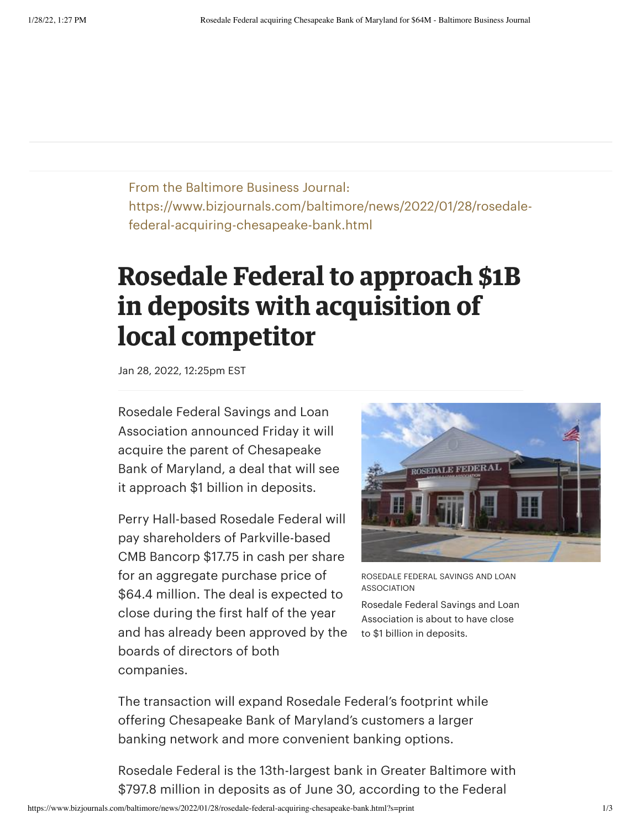From the Baltimore Business Journal: https://www.bizjournals.com/baltimore/news/2022/01/28/rosedalefederal-acquiring-chesapeake-bank.html

## **Rosedale Federal to approach \$1B in deposits with acquisition of local competitor**

Jan 28, 2022, 12:25pm EST

Rosedale Federal Savings and Loan Association announced Friday it will acquire the parent of Chesapeake Bank of Maryland, a deal that will see it approach \$1 billion in deposits.

Perry Hall-based Rosedale Federal will pay shareholders of Parkville-based CMB Bancorp \$17.75 in cash per share for an aggregate purchase price of \$64.4 million. The deal is expected to close during the first half of the year and has already been approved by the boards of directors of both companies.



ROSEDALE FEDERAL SAVINGS AND LOAN ASSOCIATION

Rosedale Federal Savings and Loan Association is about to have close to \$1 billion in deposits.

The transaction will expand Rosedale Federal's footprint while offering Chesapeake Bank of Maryland's customers a larger banking network and more convenient banking options.

Rosedale Federal is the 13th-largest bank in Greater Baltimore with \$797.8 million in deposits as of June 30, according to the Federal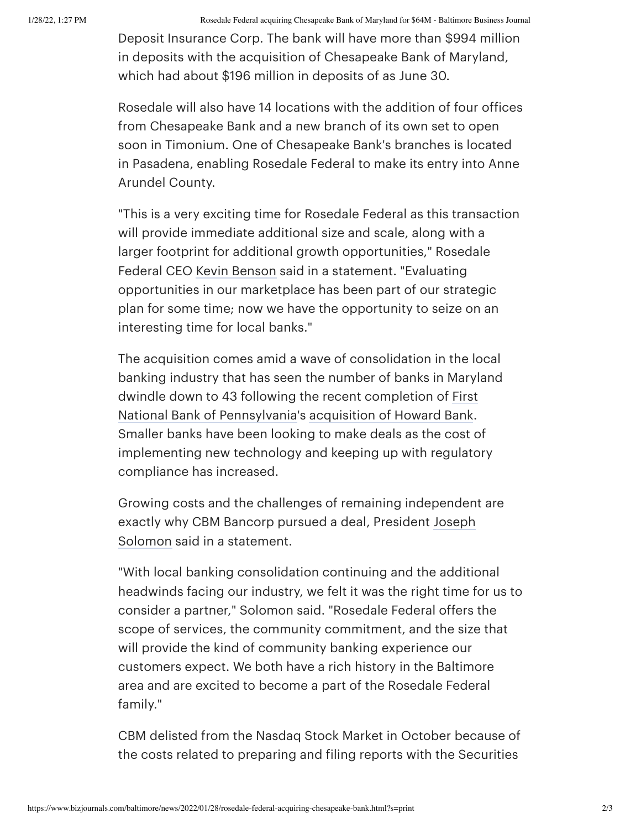1/28/22, 1:27 PM Rosedale Federal acquiring Chesapeake Bank of Maryland for \$64M - Baltimore Business Journal

Deposit Insurance Corp. The bank will have more than \$994 million in deposits with the acquisition of Chesapeake Bank of Maryland, which had about \$196 million in deposits of as June 30.

Rosedale will also have 14 locations with the addition of four offices from Chesapeake Bank and a new branch of its own set to open soon in Timonium. One of Chesapeake Bank's branches is located in Pasadena, enabling Rosedale Federal to make its entry into Anne Arundel County.

"This is a very exciting time for Rosedale Federal as this transaction will provide immediate additional size and scale, along with a larger footprint for additional growth opportunities," Rosedale Federal CEO Kevin [Benson](https://www.bizjournals.com/baltimore/search/results?q=Kevin%20Benson) said in a statement. "Evaluating opportunities in our marketplace has been part of our strategic plan for some time; now we have the opportunity to seize on an interesting time for local banks."

The acquisition comes amid a wave of consolidation in the local banking industry that has seen the number of banks in Maryland dwindle down to 43 following the recent completion of First National Bank of [Pennsylvania's](https://www.bizjournals.com/profile/company/org_mv_1643392) [acquisition](https://www.bizjournals.com/baltimore/news/2021/07/13/howard-bank-agrees-to-sell-to-fnb.html) of Howard Bank. Smaller banks have been looking to make deals as the cost of implementing new technology and keeping up with regulatory compliance has increased.

Growing costs and the challenges of remaining independent are exactly why CBM Bancorp pursued a deal, President Joseph Solomon said in a [statement.](https://www.bizjournals.com/baltimore/search/results?q=Joseph%20Solomon)

"With local banking consolidation continuing and the additional headwinds facing our industry, we felt it was the right time for us to consider a partner," Solomon said. "Rosedale Federal offers the scope of services, the community commitment, and the size that will provide the kind of community banking experience our customers expect. We both have a rich history in the Baltimore area and are excited to become a part of the Rosedale Federal family."

CBM delisted from the Nasdaq Stock Market in October because of the costs related to preparing and filing reports with the Securities